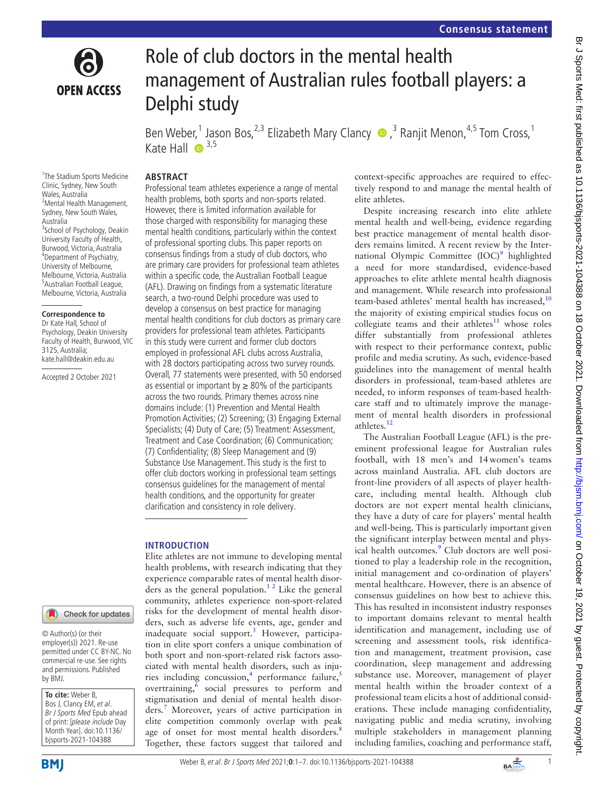context-specific approaches are required to effectively respond to and manage the mental health of

Despite increasing research into elite athlete mental health and well-being, evidence regarding best practice management of mental health disorders remains limited. A recent review by the International Olympic Committee (IOC)<sup>9</sup> highlighted a need for more standardised, evidence-based approaches to elite athlete mental health diagnosis and management. While research into professional team-based athletes' mental health has increased,<sup>[10](#page-5-8)</sup> the majority of existing empirical studies focus on collegiate teams and their athletes $11$  whose roles differ substantially from professional athletes with respect to their performance context, public profile and media scrutiny. As such, evidence-based guidelines into the management of mental health disorders in professional, team-based athletes are needed, to inform responses of team-based healthcare staff and to ultimately improve the management of mental health disorders in professional

The Australian Football League (AFL) is the preeminent professional league for Australian rules football, with 18 men's and 14women's teams across mainland Australia. AFL club doctors are



# Role of club doctors in the mental health management of Australian rules football players: a Delphi study

BenWeber,<sup>1</sup> Jason Bos,<sup>2,3</sup> Elizabeth Mary Clancy  $\bullet$ ,<sup>3</sup> Ranjit Menon,<sup>4,5</sup> Tom Cross,<sup>1</sup> Kate Hall  $\bullet$  3,5

elite athletes.

athletes.<sup>[12](#page-5-10)</sup>

#### **ABSTRACT** Professional team athletes experience a range of mental

**INTRODUCTION**

Elite athletes are not immune to developing mental health problems, with research indicating that they experience comparable rates of mental health disorders as the general population.<sup>12</sup> Like the general community, athletes experience non-sport-related risks for the development of mental health disorders, such as adverse life events, age, gender and inadequate social support.<sup>3</sup> However, participation in elite sport confers a unique combination of both sport and non-sport-related risk factors associated with mental health disorders, such as inju-ries including concussion,<sup>[4](#page-5-2)</sup> performance failure,<sup>[5](#page-5-3)</sup> overtraining, $\frac{\delta}{\rho}$  social pressures to perform and stigmatisation and denial of mental health disorders.[7](#page-5-5) Moreover, years of active participation in elite competition commonly overlap with peak age of onset for most mental health disorders.<sup>[8](#page-5-6)</sup> Together, these factors suggest that tailored and

health problems, both sports and non-sports related. However, there is limited information available for those charged with responsibility for managing these mental health conditions, particularly within the context of professional sporting clubs. This paper reports on consensus findings from a study of club doctors, who are primary care providers for professional team athletes within a specific code, the Australian Football League (AFL). Drawing on findings from a systematic literature search, a two-round Delphi procedure was used to develop a consensus on best practice for managing mental health conditions for club doctors as primary care providers for professional team athletes. Participants in this study were current and former club doctors employed in professional AFL clubs across Australia, with 28 doctors participating across two survey rounds. Overall, 77 statements were presented, with 50 endorsed as essential or important by  $\geq$  80% of the participants across the two rounds. Primary themes across nine domains include: (1) Prevention and Mental Health Promotion Activities; (2) Screening; (3) Engaging External Specialists; (4) Duty of Care; (5) Treatment: Assessment, Treatment and Case Coordination; (6) Communication; (7) Confidentiality; (8) Sleep Management and (9) Substance Use Management. This study is the first to offer club doctors working in professional team settings consensus guidelines for the management of mental health conditions, and the opportunity for greater clarification and consistency in role delivery.

1 The Stadium Sports Medicine Clinic, Sydney, New South Wales, Australia <sup>2</sup> Mental Health Management, Sydney, New South Wales, Australia <sup>3</sup>School of Psychology, Deakin University Faculty of Health, Burwood, Victoria, Australia 4 Department of Psychiatry, University of Melbourne, Melbourne, Victoria, Australia 5 Australian Football League, Melbourne, Victoria, Australia

#### **Correspondence to**

Dr Kate Hall, School of Psychology, Deakin University Faculty of Health, Burwood, VIC 3125, Australia; kate.hall@deakin.edu.au

Accepted 2 October 2021

## Check for updates

© Author(s) (or their employer(s)) 2021. Re-use permitted under CC BY-NC. No commercial re-use. See rights and permissions. Published by BMJ.

**To cite:** Weber B, Bos J, Clancy EM, et al. Br J Sports Med Epub ahead of print: [please include Day Month Year]. doi:10.1136/ bjsports-2021-104388

front-line providers of all aspects of player healthcare, including mental health. Although club doctors are not expert mental health clinicians, they have a duty of care for players' mental health and well-being. This is particularly important given the significant interplay between mental and phys-ical health outcomes.<sup>[9](#page-5-7)</sup> Club doctors are well positioned to play a leadership role in the recognition, initial management and co-ordination of players' mental healthcare. However, there is an absence of consensus guidelines on how best to achieve this. This has resulted in inconsistent industry responses to important domains relevant to mental health identification and management, including use of screening and assessment tools, risk identification and management, treatment provision, case coordination, sleep management and addressing substance use. Moreover, management of player mental health within the broader context of a professional team elicits a host of additional considerations. These include managing confidentiality, navigating public and media scrutiny, involving multiple stakeholders in management planning including families, coaching and performance staff,

Br J Sports Med: first published as 10.1136/bjsports-2021-104388 on 18 October 2021. Downloaded from http://bjsm.bmj.com/ on October 19, 2021 by guest. Protected by copyright Br J Sports Med: first published as 10.1136/bjsports-2021-104388 on 18 October 2021. Downloaded from m <http://bjsm.bmj.com/> on October 19, 2021 by guest. Protected by copyright.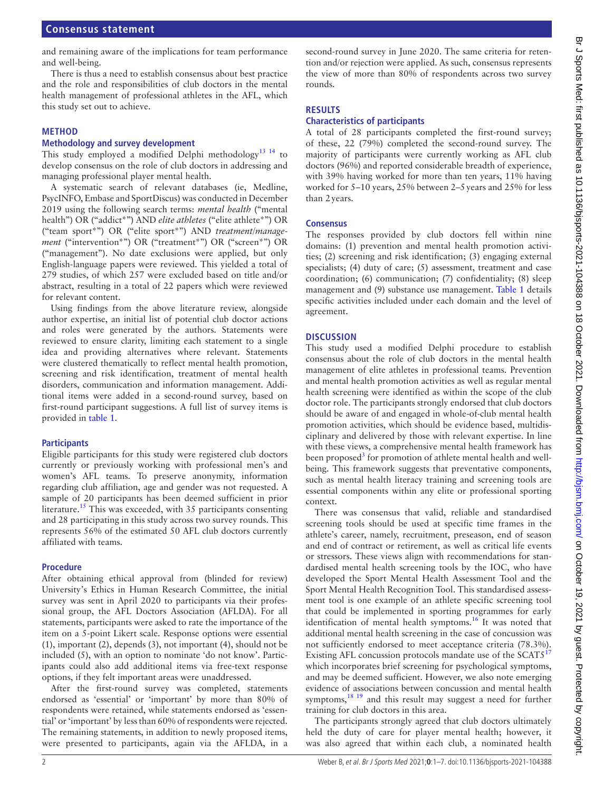and remaining aware of the implications for team performance and well-being.

There is thus a need to establish consensus about best practice and the role and responsibilities of club doctors in the mental health management of professional athletes in the AFL, which this study set out to achieve.

## **METHOD**

## **Methodology and survey development**

This study employed a modified Delphi methodology<sup>[13 14](#page-5-11)</sup> to develop consensus on the role of club doctors in addressing and managing professional player mental health.

A systematic search of relevant databases (ie, Medline, PsycINFO, Embase and SportDiscus) was conducted in December 2019 using the following search terms: *mental health* ("mental health") OR ("addict\*") AND *elite athletes* ("elite athlete\*") OR ("team sport\*") OR ("elite sport\*") AND *treatment/management* ("intervention\*") OR ("treatment\*") OR ("screen\*") OR ("management"). No date exclusions were applied, but only English-language papers were reviewed. This yielded a total of 279 studies, of which 257 were excluded based on title and/or abstract, resulting in a total of 22 papers which were reviewed for relevant content.

Using findings from the above literature review, alongside author expertise, an initial list of potential club doctor actions and roles were generated by the authors. Statements were reviewed to ensure clarity, limiting each statement to a single idea and providing alternatives where relevant. Statements were clustered thematically to reflect mental health promotion, screening and risk identification, treatment of mental health disorders, communication and information management. Additional items were added in a second-round survey, based on first-round participant suggestions. A full list of survey items is provided in [table](#page-2-0) 1.

## **Participants**

Eligible participants for this study were registered club doctors currently or previously working with professional men's and women's AFL teams. To preserve anonymity, information regarding club affiliation, age and gender was not requested. A sample of 20 participants has been deemed sufficient in prior literature.<sup>15</sup> This was exceeded, with 35 participants consenting and 28 participating in this study across two survey rounds. This represents 56% of the estimated 50 AFL club doctors currently affiliated with teams.

## **Procedure**

After obtaining ethical approval from (blinded for review) University's Ethics in Human Research Committee, the initial survey was sent in April 2020 to participants via their professional group, the AFL Doctors Association (AFLDA). For all statements, participants were asked to rate the importance of the item on a 5-point Likert scale. Response options were essential (1), important (2), depends (3), not important (4), should not be included (5), with an option to nominate 'do not know'. Participants could also add additional items via free-text response options, if they felt important areas were unaddressed.

After the first-round survey was completed, statements endorsed as 'essential' or 'important' by more than 80% of respondents were retained, while statements endorsed as 'essential' or 'important' by less than 60% of respondents were rejected. The remaining statements, in addition to newly proposed items, were presented to participants, again via the AFLDA, in a

second-round survey in June 2020. The same criteria for retention and/or rejection were applied. As such, consensus represents the view of more than 80% of respondents across two survey rounds.

## **RESULTS**

## **Characteristics of participants**

A total of 28 participants completed the first-round survey; of these, 22 (79%) completed the second-round survey. The majority of participants were currently working as AFL club doctors (96%) and reported considerable breadth of experience, with 39% having worked for more than ten years, 11% having worked for 5–10 years, 25% between 2–5years and 25% for less than 2years.

## **Consensus**

The responses provided by club doctors fell within nine domains: (1) prevention and mental health promotion activities; (2) screening and risk identification; (3) engaging external specialists; (4) duty of care; (5) assessment, treatment and case coordination; (6) communication; (7) confidentiality; (8) sleep management and (9) substance use management. [Table](#page-2-0) 1 details specific activities included under each domain and the level of agreement.

## **DISCUSSION**

This study used a modified Delphi procedure to establish consensus about the role of club doctors in the mental health management of elite athletes in professional teams. Prevention and mental health promotion activities as well as regular mental health screening were identified as within the scope of the club doctor role. The participants strongly endorsed that club doctors should be aware of and engaged in whole-of-club mental health promotion activities, which should be evidence based, multidisciplinary and delivered by those with relevant expertise. In line with these views, a comprehensive mental health framework has been proposed<sup>[3](#page-5-1)</sup> for promotion of athlete mental health and wellbeing. This framework suggests that preventative components, such as mental health literacy training and screening tools are essential components within any elite or professional sporting context.

There was consensus that valid, reliable and standardised screening tools should be used at specific time frames in the athlete's career, namely, recruitment, preseason, end of season and end of contract or retirement, as well as critical life events or stressors. These views align with recommendations for standardised mental health screening tools by the IOC, who have developed the Sport Mental Health Assessment Tool and the Sport Mental Health Recognition Tool. This standardised assessment tool is one example of an athlete specific screening tool that could be implemented in sporting programmes for early identification of mental health symptoms.<sup>16</sup> It was noted that additional mental health screening in the case of concussion was not sufficiently endorsed to meet acceptance criteria (78.3%). Existing AFL concussion protocols mandate use of the SCAT5<sup>[17](#page-5-14)</sup> which incorporates brief screening for psychological symptoms, and may be deemed sufficient. However, we also note emerging evidence of associations between concussion and mental health symptoms, $18^{19}$  and this result may suggest a need for further training for club doctors in this area.

The participants strongly agreed that club doctors ultimately held the duty of care for player mental health; however, it was also agreed that within each club, a nominated health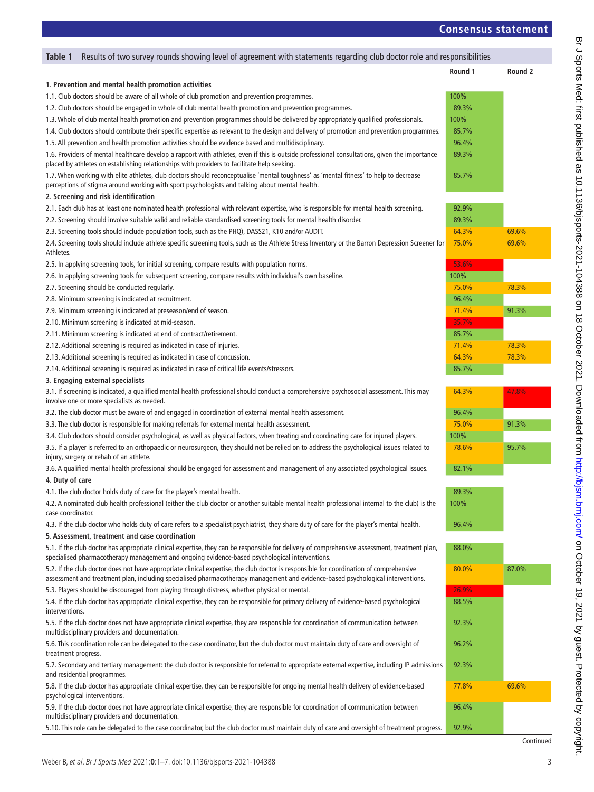<span id="page-2-0"></span>

| Results of two survey rounds showing level of agreement with statements regarding club doctor role and responsibilities<br>Table 1                                                                                                                                        |         |         |  |
|---------------------------------------------------------------------------------------------------------------------------------------------------------------------------------------------------------------------------------------------------------------------------|---------|---------|--|
|                                                                                                                                                                                                                                                                           | Round 1 | Round 2 |  |
| 1. Prevention and mental health promotion activities                                                                                                                                                                                                                      |         |         |  |
| 1.1. Club doctors should be aware of all whole of club promotion and prevention programmes.                                                                                                                                                                               | 100%    |         |  |
| 1.2. Club doctors should be engaged in whole of club mental health promotion and prevention programmes.                                                                                                                                                                   | 89.3%   |         |  |
| 1.3. Whole of club mental health promotion and prevention programmes should be delivered by appropriately qualified professionals.                                                                                                                                        | 100%    |         |  |
| 1.4. Club doctors should contribute their specific expertise as relevant to the design and delivery of promotion and prevention programmes.                                                                                                                               | 85.7%   |         |  |
| 1.5. All prevention and health promotion activities should be evidence based and multidisciplinary.                                                                                                                                                                       | 96.4%   |         |  |
| 1.6. Providers of mental healthcare develop a rapport with athletes, even if this is outside professional consultations, given the importance                                                                                                                             | 89.3%   |         |  |
| placed by athletes on establishing relationships with providers to facilitate help seeking.                                                                                                                                                                               |         |         |  |
| 1.7. When working with elite athletes, club doctors should reconceptualise 'mental toughness' as 'mental fitness' to help to decrease<br>perceptions of stigma around working with sport psychologists and talking about mental health.                                   | 85.7%   |         |  |
| 2. Screening and risk identification                                                                                                                                                                                                                                      |         |         |  |
| 2.1. Each club has at least one nominated health professional with relevant expertise, who is responsible for mental health screening.                                                                                                                                    | 92.9%   |         |  |
| 2.2. Screening should involve suitable valid and reliable standardised screening tools for mental health disorder.                                                                                                                                                        | 89.3%   |         |  |
| 2.3. Screening tools should include population tools, such as the PHQ), DASS21, K10 and/or AUDIT.                                                                                                                                                                         | 64.3%   | 69.6%   |  |
| 2.4. Screening tools should include athlete specific screening tools, such as the Athlete Stress Inventory or the Barron Depression Screener for<br>Athletes.                                                                                                             | 75.0%   | 69.6%   |  |
| 2.5. In applying screening tools, for initial screening, compare results with population norms.                                                                                                                                                                           | 53.6%   |         |  |
| 2.6. In applying screening tools for subsequent screening, compare results with individual's own baseline.                                                                                                                                                                | 100%    |         |  |
| 2.7. Screening should be conducted regularly.                                                                                                                                                                                                                             | 75.0%   | 78.3%   |  |
| 2.8. Minimum screening is indicated at recruitment.                                                                                                                                                                                                                       | 96.4%   |         |  |
| 2.9. Minimum screening is indicated at preseason/end of season.                                                                                                                                                                                                           | 71.4%   | 91.3%   |  |
| 2.10. Minimum screening is indicated at mid-season.                                                                                                                                                                                                                       | 35.7%   |         |  |
| 2.11. Minimum screening is indicated at end of contract/retirement.                                                                                                                                                                                                       | 85.7%   |         |  |
| 2.12. Additional screening is required as indicated in case of injuries.                                                                                                                                                                                                  | 71.4%   | 78.3%   |  |
| 2.13. Additional screening is required as indicated in case of concussion.                                                                                                                                                                                                | 64.3%   | 78.3%   |  |
| 2.14. Additional screening is required as indicated in case of critical life events/stressors.                                                                                                                                                                            | 85.7%   |         |  |
| 3. Engaging external specialists                                                                                                                                                                                                                                          |         |         |  |
| 3.1. If screening is indicated, a qualified mental health professional should conduct a comprehensive psychosocial assessment. This may<br>involve one or more specialists as needed.                                                                                     | 64.3%   | 47.8%   |  |
| 3.2. The club doctor must be aware of and engaged in coordination of external mental health assessment.                                                                                                                                                                   | 96.4%   |         |  |
| 3.3. The club doctor is responsible for making referrals for external mental health assessment.                                                                                                                                                                           | 75.0%   | 91.3%   |  |
| 3.4. Club doctors should consider psychological, as well as physical factors, when treating and coordinating care for injured players.                                                                                                                                    | 100%    |         |  |
| 3.5. If a player is referred to an orthopaedic or neurosurgeon, they should not be relied on to address the psychological issues related to<br>injury, surgery or rehab of an athlete.                                                                                    | 78.6%   | 95.7%   |  |
| 3.6. A qualified mental health professional should be engaged for assessment and management of any associated psychological issues.                                                                                                                                       | 82.1%   |         |  |
| 4. Duty of care                                                                                                                                                                                                                                                           |         |         |  |
| 4.1. The club doctor holds duty of care for the player's mental health.                                                                                                                                                                                                   | 89.3%   |         |  |
| 4.2. A nominated club health professional (either the club doctor or another suitable mental health professional internal to the club) is the<br>case coordinator.                                                                                                        | 100%    |         |  |
| 4.3. If the club doctor who holds duty of care refers to a specialist psychiatrist, they share duty of care for the player's mental health.                                                                                                                               | 96.4%   |         |  |
| 5. Assessment, treatment and case coordination                                                                                                                                                                                                                            |         |         |  |
| 5.1. If the club doctor has appropriate clinical expertise, they can be responsible for delivery of comprehensive assessment, treatment plan,<br>specialised pharmacotherapy management and ongoing evidence-based psychological interventions.                           | 88.0%   |         |  |
| 5.2. If the club doctor does not have appropriate clinical expertise, the club doctor is responsible for coordination of comprehensive<br>assessment and treatment plan, including specialised pharmacotherapy management and evidence-based psychological interventions. | 80.0%   | 87.0%   |  |
| 5.3. Players should be discouraged from playing through distress, whether physical or mental.                                                                                                                                                                             | 26.9%   |         |  |
| 5.4. If the club doctor has appropriate clinical expertise, they can be responsible for primary delivery of evidence-based psychological<br>interventions.                                                                                                                | 88.5%   |         |  |
| 5.5. If the club doctor does not have appropriate clinical expertise, they are responsible for coordination of communication between<br>multidisciplinary providers and documentation.                                                                                    | 92.3%   |         |  |
| 5.6. This coordination role can be delegated to the case coordinator, but the club doctor must maintain duty of care and oversight of<br>treatment progress.                                                                                                              | 96.2%   |         |  |
| 5.7. Secondary and tertiary management: the club doctor is responsible for referral to appropriate external expertise, including IP admissions<br>and residential programmes.                                                                                             | 92.3%   |         |  |
| 5.8. If the club doctor has appropriate clinical expertise, they can be responsible for ongoing mental health delivery of evidence-based<br>psychological interventions.                                                                                                  | 77.8%   | 69.6%   |  |
| 5.9. If the club doctor does not have appropriate clinical expertise, they are responsible for coordination of communication between<br>multidisciplinary providers and documentation.                                                                                    | 96.4%   |         |  |
| 5.10. This role can be delegated to the case coordinator, but the club doctor must maintain duty of care and oversight of treatment progress.                                                                                                                             | 92.9%   |         |  |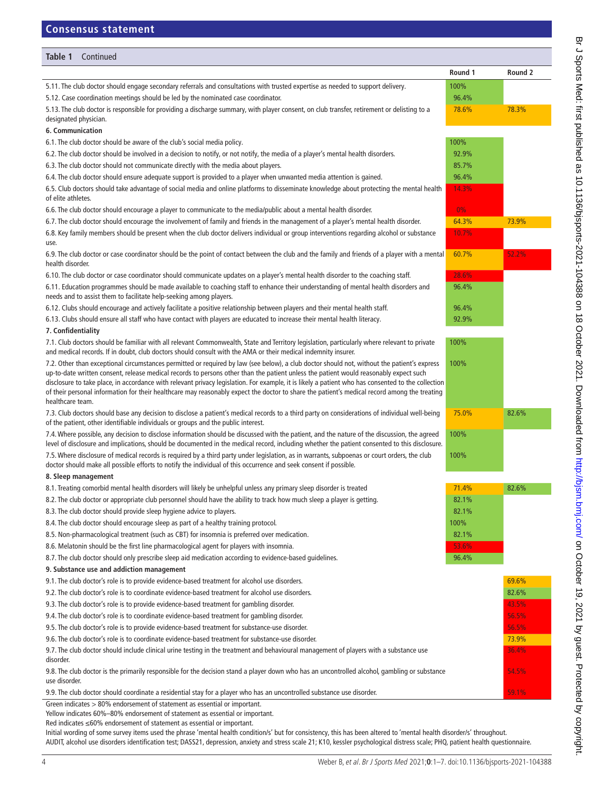## **Consensus statement**

| Table 1<br>Continued                                                                                                                                                                                                                                                                                                                                                                                                                                                                                                                                                                                           |         |         |
|----------------------------------------------------------------------------------------------------------------------------------------------------------------------------------------------------------------------------------------------------------------------------------------------------------------------------------------------------------------------------------------------------------------------------------------------------------------------------------------------------------------------------------------------------------------------------------------------------------------|---------|---------|
|                                                                                                                                                                                                                                                                                                                                                                                                                                                                                                                                                                                                                | Round 1 | Round 2 |
| 5.11. The club doctor should engage secondary referrals and consultations with trusted expertise as needed to support delivery.                                                                                                                                                                                                                                                                                                                                                                                                                                                                                | 100%    |         |
| 5.12. Case coordination meetings should be led by the nominated case coordinator.                                                                                                                                                                                                                                                                                                                                                                                                                                                                                                                              | 96.4%   |         |
| 5.13. The club doctor is responsible for providing a discharge summary, with player consent, on club transfer, retirement or delisting to a<br>designated physician.                                                                                                                                                                                                                                                                                                                                                                                                                                           | 78.6%   | 78.3%   |
| 6. Communication                                                                                                                                                                                                                                                                                                                                                                                                                                                                                                                                                                                               |         |         |
| 6.1. The club doctor should be aware of the club's social media policy.                                                                                                                                                                                                                                                                                                                                                                                                                                                                                                                                        | 100%    |         |
| 6.2. The club doctor should be involved in a decision to notify, or not notify, the media of a player's mental health disorders.                                                                                                                                                                                                                                                                                                                                                                                                                                                                               | 92.9%   |         |
| 6.3. The club doctor should not communicate directly with the media about players.                                                                                                                                                                                                                                                                                                                                                                                                                                                                                                                             | 85.7%   |         |
| 6.4. The club doctor should ensure adequate support is provided to a player when unwanted media attention is gained.                                                                                                                                                                                                                                                                                                                                                                                                                                                                                           | 96.4%   |         |
| 6.5. Club doctors should take advantage of social media and online platforms to disseminate knowledge about protecting the mental health<br>of elite athletes.                                                                                                                                                                                                                                                                                                                                                                                                                                                 | 14.3%   |         |
| 6.6. The club doctor should encourage a player to communicate to the media/public about a mental health disorder.                                                                                                                                                                                                                                                                                                                                                                                                                                                                                              | $0\%$   |         |
| 6.7. The club doctor should encourage the involvement of family and friends in the management of a player's mental health disorder.                                                                                                                                                                                                                                                                                                                                                                                                                                                                            | 64.3%   | 73.9%   |
| 6.8. Key family members should be present when the club doctor delivers individual or group interventions regarding alcohol or substance<br>use.                                                                                                                                                                                                                                                                                                                                                                                                                                                               | 10.7%   |         |
| 6.9. The club doctor or case coordinator should be the point of contact between the club and the family and friends of a player with a mental<br>health disorder.                                                                                                                                                                                                                                                                                                                                                                                                                                              | 60.7%   | 52.2%   |
| 6.10. The club doctor or case coordinator should communicate updates on a player's mental health disorder to the coaching staff.                                                                                                                                                                                                                                                                                                                                                                                                                                                                               | 28.6%   |         |
| 6.11. Education programmes should be made available to coaching staff to enhance their understanding of mental health disorders and<br>needs and to assist them to facilitate help-seeking among players.                                                                                                                                                                                                                                                                                                                                                                                                      | 96.4%   |         |
| 6.12. Clubs should encourage and actively facilitate a positive relationship between players and their mental health staff.                                                                                                                                                                                                                                                                                                                                                                                                                                                                                    | 96.4%   |         |
| 6.13. Clubs should ensure all staff who have contact with players are educated to increase their mental health literacy.                                                                                                                                                                                                                                                                                                                                                                                                                                                                                       | 92.9%   |         |
| 7. Confidentiality                                                                                                                                                                                                                                                                                                                                                                                                                                                                                                                                                                                             |         |         |
| 7.1. Club doctors should be familiar with all relevant Commonwealth, State and Territory legislation, particularly where relevant to private<br>and medical records. If in doubt, club doctors should consult with the AMA or their medical indemnity insurer.                                                                                                                                                                                                                                                                                                                                                 | 100%    |         |
| 7.2. Other than exceptional circumstances permitted or required by law (see below), a club doctor should not, without the patient's express<br>up-to-date written consent, release medical records to persons other than the patient unless the patient would reasonably expect such<br>disclosure to take place, in accordance with relevant privacy legislation. For example, it is likely a patient who has consented to the collection<br>of their personal information for their healthcare may reasonably expect the doctor to share the patient's medical record among the treating<br>healthcare team. | 100%    |         |
| 7.3. Club doctors should base any decision to disclose a patient's medical records to a third party on considerations of individual well-being<br>of the patient, other identifiable individuals or groups and the public interest.                                                                                                                                                                                                                                                                                                                                                                            | 75.0%   | 82.6%   |
| 7.4. Where possible, any decision to disclose information should be discussed with the patient, and the nature of the discussion, the agreed<br>level of disclosure and implications, should be documented in the medical record, including whether the patient consented to this disclosure.                                                                                                                                                                                                                                                                                                                  | 100%    |         |
| 7.5. Where disclosure of medical records is required by a third party under legislation, as in warrants, subpoenas or court orders, the club<br>doctor should make all possible efforts to notify the individual of this occurrence and seek consent if possible.                                                                                                                                                                                                                                                                                                                                              | 100%    |         |
| 8. Sleep management                                                                                                                                                                                                                                                                                                                                                                                                                                                                                                                                                                                            |         |         |
| 8.1. Treating comorbid mental health disorders will likely be unhelpful unless any primary sleep disorder is treated                                                                                                                                                                                                                                                                                                                                                                                                                                                                                           | 71.4%   | 82.6%   |
| 8.2. The club doctor or appropriate club personnel should have the ability to track how much sleep a player is getting.                                                                                                                                                                                                                                                                                                                                                                                                                                                                                        | 82.1%   |         |
| 8.3. The club doctor should provide sleep hygiene advice to players.                                                                                                                                                                                                                                                                                                                                                                                                                                                                                                                                           | 82.1%   |         |
| 8.4. The club doctor should encourage sleep as part of a healthy training protocol.                                                                                                                                                                                                                                                                                                                                                                                                                                                                                                                            | 100%    |         |
| 8.5. Non-pharmacological treatment (such as CBT) for insomnia is preferred over medication.                                                                                                                                                                                                                                                                                                                                                                                                                                                                                                                    | 82.1%   |         |
| 8.6. Melatonin should be the first line pharmacological agent for players with insomnia.                                                                                                                                                                                                                                                                                                                                                                                                                                                                                                                       | 53.6%   |         |
| 8.7. The club doctor should only prescribe sleep aid medication according to evidence-based guidelines.                                                                                                                                                                                                                                                                                                                                                                                                                                                                                                        | 96.4%   |         |
| 9. Substance use and addiction management                                                                                                                                                                                                                                                                                                                                                                                                                                                                                                                                                                      |         |         |
| 9.1. The club doctor's role is to provide evidence-based treatment for alcohol use disorders.                                                                                                                                                                                                                                                                                                                                                                                                                                                                                                                  |         | 69.6%   |
| 9.2. The club doctor's role is to coordinate evidence-based treatment for alcohol use disorders.                                                                                                                                                                                                                                                                                                                                                                                                                                                                                                               |         | 82.6%   |
| 9.3. The club doctor's role is to provide evidence-based treatment for gambling disorder.                                                                                                                                                                                                                                                                                                                                                                                                                                                                                                                      |         | 43.5%   |
| 9.4. The club doctor's role is to coordinate evidence-based treatment for gambling disorder.                                                                                                                                                                                                                                                                                                                                                                                                                                                                                                                   |         | 56.5%   |
| 9.5. The club doctor's role is to provide evidence-based treatment for substance-use disorder.                                                                                                                                                                                                                                                                                                                                                                                                                                                                                                                 |         | 56.5%   |
| 9.6. The club doctor's role is to coordinate evidence-based treatment for substance-use disorder.                                                                                                                                                                                                                                                                                                                                                                                                                                                                                                              |         | 73.9%   |
| 9.7. The club doctor should include clinical urine testing in the treatment and behavioural management of players with a substance use<br>disorder.                                                                                                                                                                                                                                                                                                                                                                                                                                                            |         | 36.4%   |
| 9.8. The club doctor is the primarily responsible for the decision stand a player down who has an uncontrolled alcohol, gambling or substance<br>use disorder.                                                                                                                                                                                                                                                                                                                                                                                                                                                 |         | 54.5%   |
| 9.9. The club doctor should coordinate a residential stay for a player who has an uncontrolled substance use disorder.                                                                                                                                                                                                                                                                                                                                                                                                                                                                                         |         | 59.1%   |
| Green indicates > 80% endorsement of statement as essential or important.<br>Yellow indicates 60%-80% endorsement of statement as essential or important.                                                                                                                                                                                                                                                                                                                                                                                                                                                      |         |         |

Red indicates ≤60% endorsement of statement as essential or important.

Initial wording of some survey items used the phrase 'mental health condition/s' but for consistency, this has been altered to 'mental health disorder/s' throughout. AUDIT, alcohol use disorders identification test; DASS21, depression, anxiety and stress scale 21; K10, kessler psychological distress scale; PHQ, patient health questionnaire.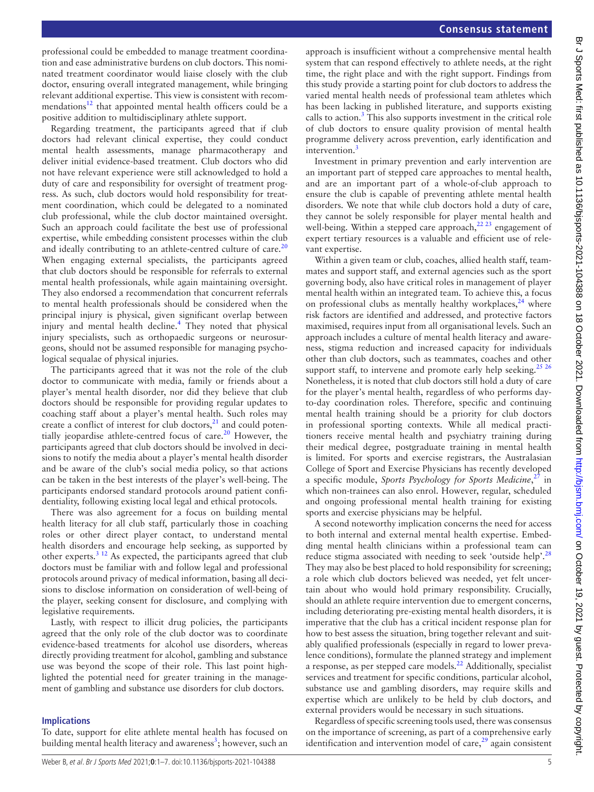professional could be embedded to manage treatment coordination and ease administrative burdens on club doctors. This nominated treatment coordinator would liaise closely with the club doctor, ensuring overall integrated management, while bringing relevant additional expertise. This view is consistent with recommendations $12$  that appointed mental health officers could be a positive addition to multidisciplinary athlete support.

Regarding treatment, the participants agreed that if club doctors had relevant clinical expertise, they could conduct mental health assessments, manage pharmacotherapy and deliver initial evidence-based treatment. Club doctors who did not have relevant experience were still acknowledged to hold a duty of care and responsibility for oversight of treatment progress. As such, club doctors would hold responsibility for treatment coordination, which could be delegated to a nominated club professional, while the club doctor maintained oversight. Such an approach could facilitate the best use of professional expertise, while embedding consistent processes within the club and ideally contributing to an athlete-centred culture of care. $20$ When engaging external specialists, the participants agreed that club doctors should be responsible for referrals to external mental health professionals, while again maintaining oversight. They also endorsed a recommendation that concurrent referrals to mental health professionals should be considered when the principal injury is physical, given significant overlap between injury and mental health decline.<sup>4</sup> They noted that physical injury specialists, such as orthopaedic surgeons or neurosurgeons, should not be assumed responsible for managing psychological sequalae of physical injuries.

The participants agreed that it was not the role of the club doctor to communicate with media, family or friends about a player's mental health disorder, nor did they believe that club doctors should be responsible for providing regular updates to coaching staff about a player's mental health. Such roles may create a conflict of interest for club doctors, $^{21}$  and could potentially jeopardise athlete-centred focus of care. $^{20}$  However, the participants agreed that club doctors should be involved in decisions to notify the media about a player's mental health disorder and be aware of the club's social media policy, so that actions can be taken in the best interests of the player's well-being. The participants endorsed standard protocols around patient confidentiality, following existing local legal and ethical protocols.

There was also agreement for a focus on building mental health literacy for all club staff, particularly those in coaching roles or other direct player contact, to understand mental health disorders and encourage help seeking, as supported by other experts. $3^{12}$  As expected, the participants agreed that club doctors must be familiar with and follow legal and professional protocols around privacy of medical information, basing all decisions to disclose information on consideration of well-being of the player, seeking consent for disclosure, and complying with legislative requirements.

Lastly, with respect to illicit drug policies, the participants agreed that the only role of the club doctor was to coordinate evidence-based treatments for alcohol use disorders, whereas directly providing treatment for alcohol, gambling and substance use was beyond the scope of their role. This last point highlighted the potential need for greater training in the management of gambling and substance use disorders for club doctors.

# **Implications**

To date, support for elite athlete mental health has focused on building mental health literacy and awareness<sup>[3](#page-5-1)</sup>; however, such an

Investment in primary prevention and early intervention are an important part of stepped care approaches to mental health, and are an important part of a whole-of-club approach to ensure the club is capable of preventing athlete mental health disorders. We note that while club doctors hold a duty of care, they cannot be solely responsible for player mental health and well-being. Within a stepped care approach, $22 \times 23$  engagement of expert tertiary resources is a valuable and efficient use of relevant expertise.

Within a given team or club, coaches, allied health staff, teammates and support staff, and external agencies such as the sport governing body, also have critical roles in management of player mental health within an integrated team. To achieve this, a focus on professional clubs as mentally healthy workplaces, $24$  where risk factors are identified and addressed, and protective factors maximised, requires input from all organisational levels. Such an approach includes a culture of mental health literacy and awareness, stigma reduction and increased capacity for individuals other than club doctors, such as teammates, coaches and other support staff, to intervene and promote early help seeking.<sup>[25 26](#page-6-0)</sup> Nonetheless, it is noted that club doctors still hold a duty of care for the player's mental health, regardless of who performs dayto-day coordination roles. Therefore, specific and continuing mental health training should be a priority for club doctors in professional sporting contexts. While all medical practitioners receive mental health and psychiatry training during their medical degree, postgraduate training in mental health is limited. For sports and exercise registrars, the Australasian College of Sport and Exercise Physicians has recently developed a specific module, *Sports Psychology for Sports Medicine*, [27](#page-6-1) in which non-trainees can also enrol. However, regular, scheduled and ongoing professional mental health training for existing sports and exercise physicians may be helpful.

A second noteworthy implication concerns the need for access to both internal and external mental health expertise. Embedding mental health clinicians within a professional team can reduce stigma associated with needing to seek 'outside help'.<sup>[28](#page-6-2)</sup> They may also be best placed to hold responsibility for screening; a role which club doctors believed was needed, yet felt uncertain about who would hold primary responsibility. Crucially, should an athlete require intervention due to emergent concerns, including deteriorating pre-existing mental health disorders, it is imperative that the club has a critical incident response plan for how to best assess the situation, bring together relevant and suitably qualified professionals (especially in regard to lower prevalence conditions), formulate the planned strategy and implement a response, as per stepped care models.<sup>22</sup> Additionally, specialist services and treatment for specific conditions, particular alcohol, substance use and gambling disorders, may require skills and expertise which are unlikely to be held by club doctors, and external providers would be necessary in such situations.

Regardless of specific screening tools used, there was consensus on the importance of screening, as part of a comprehensive early identification and intervention model of care, $2<sup>9</sup>$  again consistent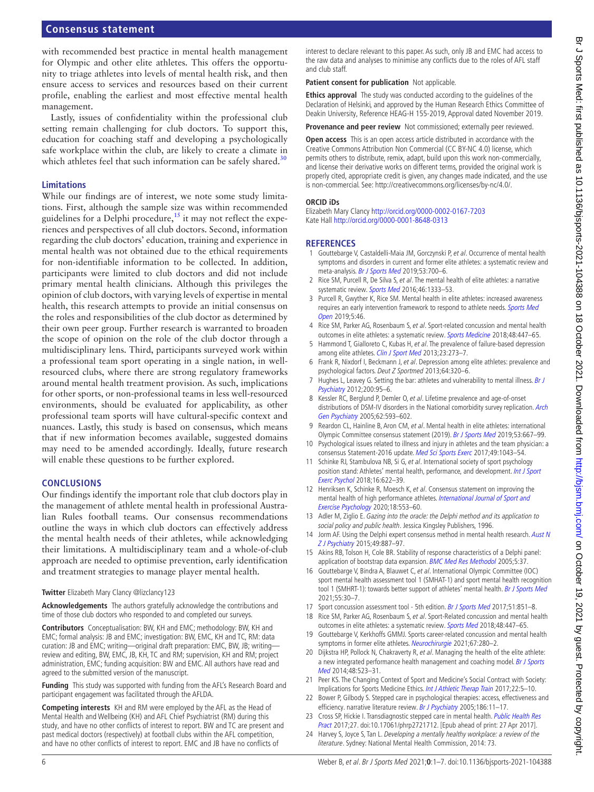## **Consensus statement**

with recommended best practice in mental health management for Olympic and other elite athletes. This offers the opportunity to triage athletes into levels of mental health risk, and then ensure access to services and resources based on their current profile, enabling the earliest and most effective mental health management.

Lastly, issues of confidentiality within the professional club setting remain challenging for club doctors. To support this, education for coaching staff and developing a psychologically safe workplace within the club, are likely to create a climate in which athletes feel that such information can be safely shared.<sup>[30](#page-6-4)</sup>

#### **Limitations**

While our findings are of interest, we note some study limitations. First, although the sample size was within recommended guidelines for a Delphi procedure,<sup>15</sup> it may not reflect the experiences and perspectives of all club doctors. Second, information regarding the club doctors' education, training and experience in mental health was not obtained due to the ethical requirements for non-identifiable information to be collected. In addition, participants were limited to club doctors and did not include primary mental health clinicians. Although this privileges the opinion of club doctors, with varying levels of expertise in mental health, this research attempts to provide an initial consensus on the roles and responsibilities of the club doctor as determined by their own peer group. Further research is warranted to broaden the scope of opinion on the role of the club doctor through a multidisciplinary lens. Third, participants surveyed work within a professional team sport operating in a single nation, in wellresourced clubs, where there are strong regulatory frameworks around mental health treatment provision. As such, implications for other sports, or non-professional teams in less well-resourced environments, should be evaluated for applicability, as other professional team sports will have cultural-specific context and nuances. Lastly, this study is based on consensus, which means that if new information becomes available, suggested domains may need to be amended accordingly. Ideally, future research will enable these questions to be further explored.

#### **CONCLUSIONS**

Our findings identify the important role that club doctors play in the management of athlete mental health in professional Australian Rules football teams. Our consensus recommendations outline the ways in which club doctors can effectively address the mental health needs of their athletes, while acknowledging their limitations. A multidisciplinary team and a whole-of-club approach are needed to optimise prevention, early identification and treatment strategies to manage player mental health.

#### **Twitter** Elizabeth Mary Clancy [@lizclancy123](https://twitter.com/lizclancy123)

**Acknowledgements** The authors gratefully acknowledge the contributions and time of those club doctors who responded to and completed our surveys.

**Contributors** Conceptualisation: BW, KH and EMC; methodology: BW, KH and EMC; formal analysis: JB and EMC; investigation: BW, EMC, KH and TC, RM: data curation: JB and EMC; writing—original draft preparation: EMC, BW, JB; writing review and editing, BW, EMC, JB, KH, TC and RM; supervision, KH and RM; project administration, EMC; funding acquisition: BW and EMC. All authors have read and agreed to the submitted version of the manuscript.

**Funding** This study was supported with funding from the AFL's Research Board and participant engagement was facilitated through the AFLDA.

**Competing interests** KH and RM were employed by the AFL as the Head of Mental Health and Wellbeing (KH) and AFL Chief Psychiatrist (RM) during this study, and have no other conflicts of interest to report. BW and TC are present and past medical doctors (respectively) at football clubs within the AFL competition, and have no other conflicts of interest to report. EMC and JB have no conflicts of

interest to declare relevant to this paper. As such, only JB and EMC had access to the raw data and analyses to minimise any conflicts due to the roles of AFL staff and club staff.

#### **Patient consent for publication** Not applicable.

**Ethics approval** The study was conducted according to the guidelines of the Declaration of Helsinki, and approved by the Human Research Ethics Committee of Deakin University, Reference HEAG-H 155-2019, Approval dated November 2019.

**Provenance and peer review** Not commissioned; externally peer reviewed.

**Open access** This is an open access article distributed in accordance with the Creative Commons Attribution Non Commercial (CC BY-NC 4.0) license, which permits others to distribute, remix, adapt, build upon this work non-commercially, and license their derivative works on different terms, provided the original work is properly cited, appropriate credit is given, any changes made indicated, and the use is non-commercial. See: [http://creativecommons.org/licenses/by-nc/4.0/.](http://creativecommons.org/licenses/by-nc/4.0/)

#### **ORCID iDs**

Elizabeth Mary Clancy <http://orcid.org/0000-0002-0167-7203> Kate Hall <http://orcid.org/0000-0001-8648-0313>

#### **REFERENCES**

- <span id="page-5-0"></span>1 Gouttebarge V, Castaldelli-Maia JM, Gorczynski P, et al. Occurrence of mental health symptoms and disorders in current and former elite athletes: a systematic review and meta-analysis. [Br J Sports Med](http://dx.doi.org/10.1136/bjsports-2019-100671) 2019;53:700–6.
- 2 Rice SM, Purcell R, De Silva S, et al. The mental health of elite athletes: a narrative systematic review. [Sports Med](http://dx.doi.org/10.1007/s40279-016-0492-2) 2016;46:1333-53.
- <span id="page-5-1"></span>3 Purcell R, Gwyther K, Rice SM. Mental health in elite athletes: increased awareness requires an early intervention framework to respond to athlete needs. Sports Med [Open](http://dx.doi.org/10.1186/s40798-019-0220-1) 2019;5:46.
- <span id="page-5-2"></span>4 Rice SM, Parker AG, Rosenbaum S, et al. Sport-related concussion and mental health outcomes in elite athletes: a systematic review. [Sports Medicine](http://dx.doi.org/10.1007/s40279-017-0810-3) 2018;48:447-65.
- <span id="page-5-3"></span>5 Hammond T, Gialloreto C, Kubas H, et al. The prevalence of failure-based depression among elite athletes. [Clin J Sport Med](http://dx.doi.org/10.1097/JSM.0b013e318287b870) 2013;23:273-7.
- <span id="page-5-4"></span>6 Frank R, Nixdorf I, Beckmann J, et al. Depression among elite athletes: prevalence and psychological factors. Deut Z Sportmed 2013;64:320–6.
- <span id="page-5-5"></span>7 Hughes L, Leavey G. Setting the bar: athletes and vulnerability to mental illness. Br J [Psychiatry](http://dx.doi.org/10.1192/bjp.bp.111.095976) 2012;200:95–6.
- <span id="page-5-6"></span>8 Kessler RC, Berglund P, Demler O, et al. Lifetime prevalence and age-of-onset distributions of DSM-IV disorders in the National comorbidity survey replication. [Arch](http://dx.doi.org/10.1001/archpsyc.62.6.593)  [Gen Psychiatry](http://dx.doi.org/10.1001/archpsyc.62.6.593) 2005;62:593–602.
- <span id="page-5-7"></span>9 Reardon CL, Hainline B, Aron CM, et al. Mental health in elite athletes: international Olympic Committee consensus statement (2019). [Br J Sports Med](http://dx.doi.org/10.1136/bjsports-2019-100715) 2019;53:667–99.
- <span id="page-5-8"></span>10 Psychological issues related to illness and injury in athletes and the team physician: a consensus Statement-2016 update. [Med Sci Sports Exerc](http://dx.doi.org/10.1249/MSS.0000000000001247) 2017;49:1043-54.
- <span id="page-5-9"></span>11 Schinke RJ, Stambulova NB, Si G, et al. International society of sport psychology position stand: Athletes' mental health, performance, and development. Int J Sport [Exerc Psychol](http://dx.doi.org/10.1080/1612197X.2017.1295557) 2018;16:622–39.
- <span id="page-5-10"></span>12 Henriksen K, Schinke R, Moesch K, et al. Consensus statement on improving the mental health of high performance athletes. [International Journal of Sport and](http://dx.doi.org/10.1080/1612197X.2019.1570473)  [Exercise Psychology](http://dx.doi.org/10.1080/1612197X.2019.1570473) 2020;18:553–60.
- <span id="page-5-11"></span>13 Adler M, Ziglio E. Gazing into the oracle: the Delphi method and its application to social policy and public health. Jessica Kingsley Publishers, 1996.
- 14 Jorm AF. Using the Delphi expert consensus method in mental health research. Aust N [Z J Psychiatry](http://dx.doi.org/10.1177/0004867415600891) 2015;49:887–97.
- <span id="page-5-12"></span>15 Akins RB, Tolson H, Cole BR. Stability of response characteristics of a Delphi panel: application of bootstrap data expansion. [BMC Med Res Methodol](http://dx.doi.org/10.1186/1471-2288-5-37) 2005;5:37.
- <span id="page-5-13"></span>16 Gouttebarge V, Bindra A, Blauwet C, et al. International Olympic Committee (IOC) sport mental health assessment tool 1 (SMHAT-1) and sport mental health recognition tool 1 (SMHRT-1): towards better support of athletes' mental health. [Br J Sports Med](http://dx.doi.org/10.1136/bjsports-2020-102411) 2021;55:30–7.
- <span id="page-5-14"></span>17 Sport concussion assessment tool - 5th edition. [Br J Sports Med](http://dx.doi.org/10.1136/bjsports-2017-097506SCAT5) 2017;51:851-8.
- <span id="page-5-15"></span>18 Rice SM, Parker AG, Rosenbaum S, et al. Sport-Related concussion and mental health outcomes in elite athletes: a systematic review. [Sports Med](http://dx.doi.org/10.1007/s40279-017-0810-3) 2018;48:447-65.
- 19 Gouttebarge V, Kerkhoffs GMMJ. Sports career-related concussion and mental health symptoms in former elite athletes. [Neurochirurgie](http://dx.doi.org/10.1016/j.neuchi.2020.01.001) 2021;67:280-2.
- <span id="page-5-16"></span>20 Dijkstra HP, Pollock N, Chakraverty R, et al. Managing the health of the elite athlete: a new integrated performance health management and coaching model. Br J Sports [Med](http://dx.doi.org/10.1136/bjsports-2013-093222) 2014;48:523–31.
- <span id="page-5-17"></span>21 Peer KS. The Changing Context of Sport and Medicine's Social Contract with Society: Implications for Sports Medicine Ethics. [Int J Athletic Therap Train](http://dx.doi.org/10.1123/ijatt.2016-0023) 2017;22:5–10.
- <span id="page-5-18"></span>22 Bower P, Gilbody S. Stepped care in psychological therapies: access, effectiveness and efficiency. narrative literature review. [Br J Psychiatry](http://dx.doi.org/10.1192/bjp.186.1.11) 2005;186:11-17.
- 23 Cross SP, Hickie I. Transdiagnostic stepped care in mental health. Public Health Res [Pract](http://dx.doi.org/10.17061/phrp2721712) 2017;27. doi:10.17061/phrp2721712. [Epub ahead of print: 27 Apr 2017].
- <span id="page-5-19"></span>24 Harvey S, Joyce S, Tan L. Developing a mentally healthy workplace: a review of the literature. Sydney: National Mental Health Commission, 2014: 73.